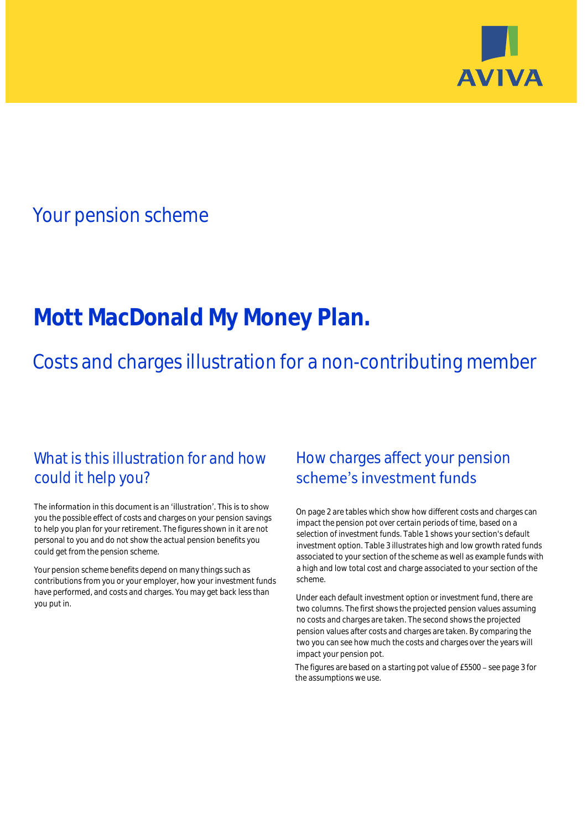

# Your pension scheme

# **Mott MacDonald My Money Plan.**

Costs and charges illustration for a non-contributing member

# What is this illustration for and how could it help you?

### The information in this document is an 'illustration'. This is to show you the possible effect of costs and charges on your pension savings to help you plan for your retirement. The figures shown in it are not personal to you and do not show the actual pension benefits you could get from the pension scheme.

Your pension scheme benefits depend on many things such as contributions from you or your employer, how your investment funds have performed, and costs and charges. You may get back less than you put in.

# How charges affect your pension scheme's investment funds

On page 2 are tables which show how different costs and charges can impact the pension pot over certain periods of time, based on a selection of investment funds. Table 1 shows your section's default investment option. Table 3 illustrates high and low growth rated funds associated to your section of the scheme as well as example funds with a high and low total cost and charge associated to your section of the scheme.

Under each default investment option or investment fund, there are two columns. The first shows the projected pension values assuming no costs and charges are taken. The second shows the projected pension values after costs and charges are taken. By comparing the two you can see how much the costs and charges over the years will impact your pension pot.

The figures are based on a starting pot value of £5500 - see page 3 for the assumptions we use.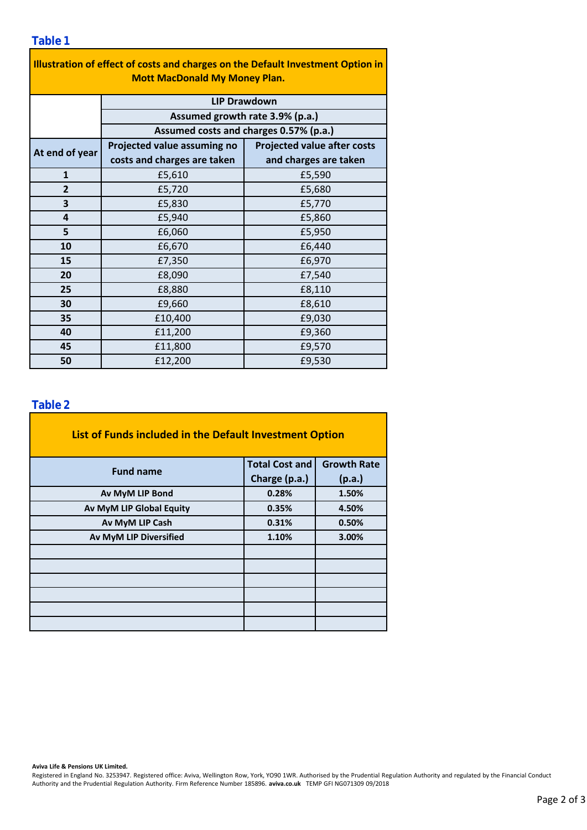### **Table 1**

| Illustration of effect of costs and charges on the Default Investment Option in<br><b>Mott MacDonald My Money Plan.</b> |                                        |                                    |  |  |  |  |  |  |
|-------------------------------------------------------------------------------------------------------------------------|----------------------------------------|------------------------------------|--|--|--|--|--|--|
|                                                                                                                         | <b>LIP Drawdown</b>                    |                                    |  |  |  |  |  |  |
|                                                                                                                         | Assumed growth rate 3.9% (p.a.)        |                                    |  |  |  |  |  |  |
|                                                                                                                         | Assumed costs and charges 0.57% (p.a.) |                                    |  |  |  |  |  |  |
| At end of year                                                                                                          | Projected value assuming no            | <b>Projected value after costs</b> |  |  |  |  |  |  |
|                                                                                                                         | costs and charges are taken            | and charges are taken              |  |  |  |  |  |  |
| $\mathbf{1}$                                                                                                            | £5,610                                 | £5,590                             |  |  |  |  |  |  |
| $\overline{2}$                                                                                                          | £5,720                                 | £5,680                             |  |  |  |  |  |  |
| 3                                                                                                                       | £5,830                                 | £5,770                             |  |  |  |  |  |  |
| 4                                                                                                                       | £5,940                                 | £5,860                             |  |  |  |  |  |  |
| 5                                                                                                                       | £6,060                                 | £5,950                             |  |  |  |  |  |  |
| 10                                                                                                                      | £6,670                                 | £6,440                             |  |  |  |  |  |  |
| 15                                                                                                                      | £7,350                                 | £6,970                             |  |  |  |  |  |  |
| 20                                                                                                                      | £8,090                                 | £7,540                             |  |  |  |  |  |  |
| 25                                                                                                                      | £8,880                                 | £8,110                             |  |  |  |  |  |  |
| 30                                                                                                                      | £9,660                                 | £8,610                             |  |  |  |  |  |  |
| 35                                                                                                                      | £10,400                                | £9,030                             |  |  |  |  |  |  |
| 40                                                                                                                      | £11,200                                | £9,360                             |  |  |  |  |  |  |
| 45                                                                                                                      | £11,800                                | £9,570                             |  |  |  |  |  |  |
| 50                                                                                                                      | £12,200                                | £9,530                             |  |  |  |  |  |  |

### **Table 2**

| List of Funds included in the Default Investment Option |                                                                                                                                                                                            |                    |  |  |  |  |  |  |
|---------------------------------------------------------|--------------------------------------------------------------------------------------------------------------------------------------------------------------------------------------------|--------------------|--|--|--|--|--|--|
|                                                         | <b>Total Cost and</b><br><b>Fund name</b><br>Charge (p.a.)<br>Av MyM LIP Bond<br>0.28%<br>Av MyM LIP Global Equity<br>0.35%<br>Av MyM LIP Cash<br>0.31%<br>Av MyM LIP Diversified<br>1.10% | <b>Growth Rate</b> |  |  |  |  |  |  |
|                                                         |                                                                                                                                                                                            | (p.a.)             |  |  |  |  |  |  |
|                                                         |                                                                                                                                                                                            | 1.50%              |  |  |  |  |  |  |
|                                                         |                                                                                                                                                                                            | 4.50%              |  |  |  |  |  |  |
|                                                         |                                                                                                                                                                                            | 0.50%              |  |  |  |  |  |  |
|                                                         |                                                                                                                                                                                            | 3.00%              |  |  |  |  |  |  |
|                                                         |                                                                                                                                                                                            |                    |  |  |  |  |  |  |
|                                                         |                                                                                                                                                                                            |                    |  |  |  |  |  |  |
|                                                         |                                                                                                                                                                                            |                    |  |  |  |  |  |  |
|                                                         |                                                                                                                                                                                            |                    |  |  |  |  |  |  |
|                                                         |                                                                                                                                                                                            |                    |  |  |  |  |  |  |
|                                                         |                                                                                                                                                                                            |                    |  |  |  |  |  |  |

#### **Aviva Life & Pensions UK Limited.**

Registered in England No. 3253947. Registered office: Aviva, Wellington Row, York, YO90 1WR. Authorised by the Prudential Regulation Authority and regulated by the Financial Conduct Authority and the Prudential Regulation Authority. Firm Reference Number 185896. **aviva.co.uk** TEMP GFI NG071309 09/2018